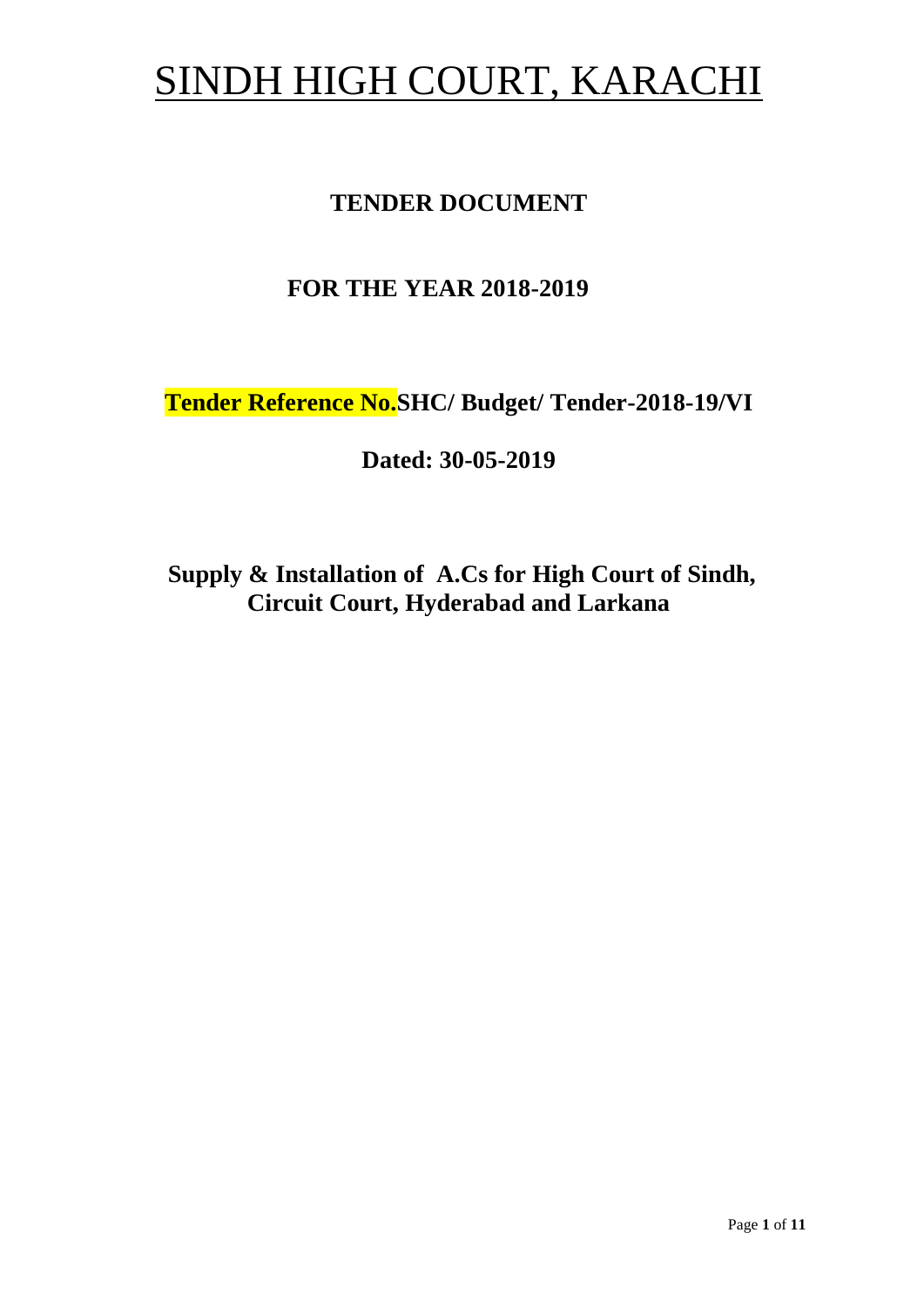# SINDH HIGH COURT, KARACHI

# **TENDER DOCUMENT**

# **FOR THE YEAR 2018-2019**

**Tender Reference No.SHC/ Budget/ Tender-2018-19/VI**

**Dated: 30-05-2019**

**Supply & Installation of A.Cs for High Court of Sindh, Circuit Court, Hyderabad and Larkana**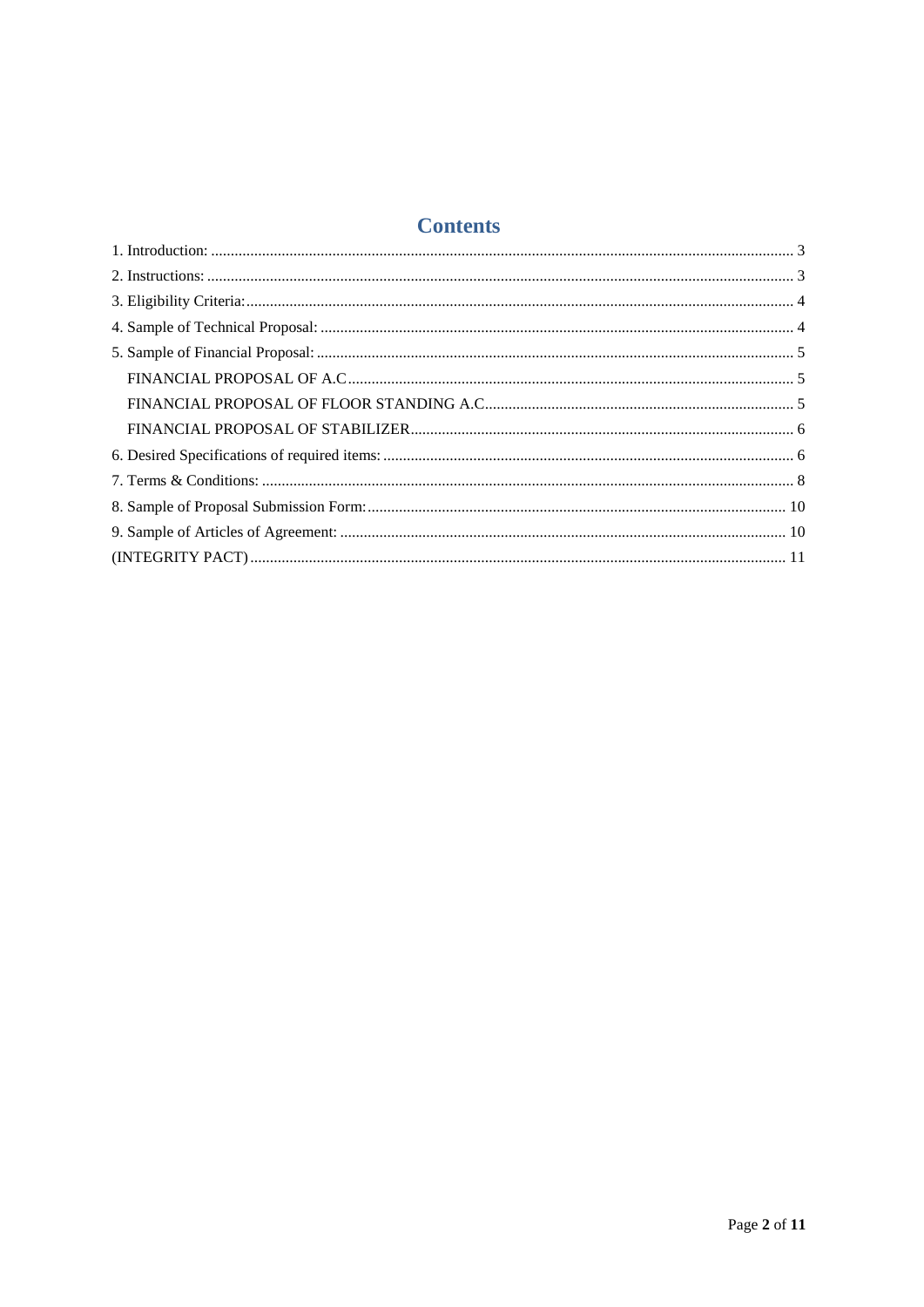# **Contents**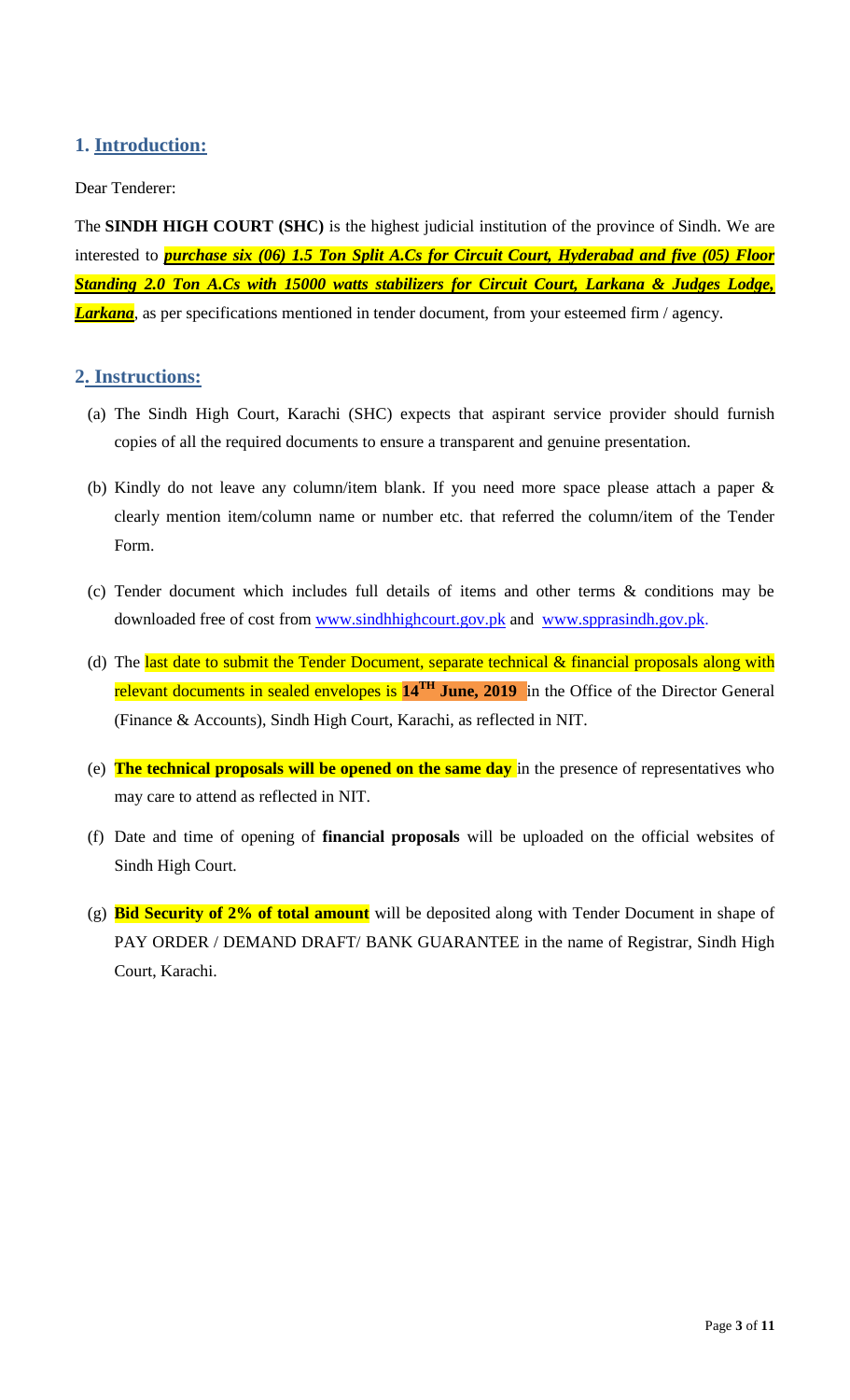## <span id="page-2-1"></span><span id="page-2-0"></span>**1. Introduction:**

#### Dear Tenderer:

The **SINDH HIGH COURT (SHC)** is the highest judicial institution of the province of [Sindh.](https://en.wikipedia.org/wiki/Sindh) We are interested to *purchase six (06) 1.5 Ton Split A.Cs for Circuit Court, Hyderabad and five (05) Floor Standing 2.0 Ton A.Cs with 15000 watts stabilizers for Circuit Court, Larkana & Judges Lodge, Larkana*, as per specifications mentioned in tender document, from your esteemed firm / agency.

#### **2. Instructions:**

- (a) The Sindh High Court, Karachi (SHC) expects that aspirant service provider should furnish copies of all the required documents to ensure a transparent and genuine presentation.
- (b) Kindly do not leave any column/item blank. If you need more space please attach a paper & clearly mention item/column name or number etc. that referred the column/item of the Tender Form.
- (c) Tender document which includes full details of items and other terms & conditions may be downloaded free of cost from [www.sindhhighcourt.gov.pk](http://www.sindhhighcourt.gov.pk/) and [www.spprasindh.gov.pk.](http://www.spprasindh.gov.pk/)
- (d) The last date to submit the Tender Document, separate technical & financial proposals along with relevant documents in sealed envelopes is **14TH June, 2019** in the Office of the Director General (Finance & Accounts), Sindh High Court, Karachi, as reflected in NIT.
- (e) **The technical proposals will be opened on the same day** in the presence of representatives who may care to attend as reflected in NIT.
- (f) Date and time of opening of **financial proposals** will be uploaded on the official websites of Sindh High Court.
- (g) **Bid Security of 2% of total amount** will be deposited along with Tender Document in shape of PAY ORDER / DEMAND DRAFT/ BANK GUARANTEE in the name of Registrar, Sindh High Court, Karachi.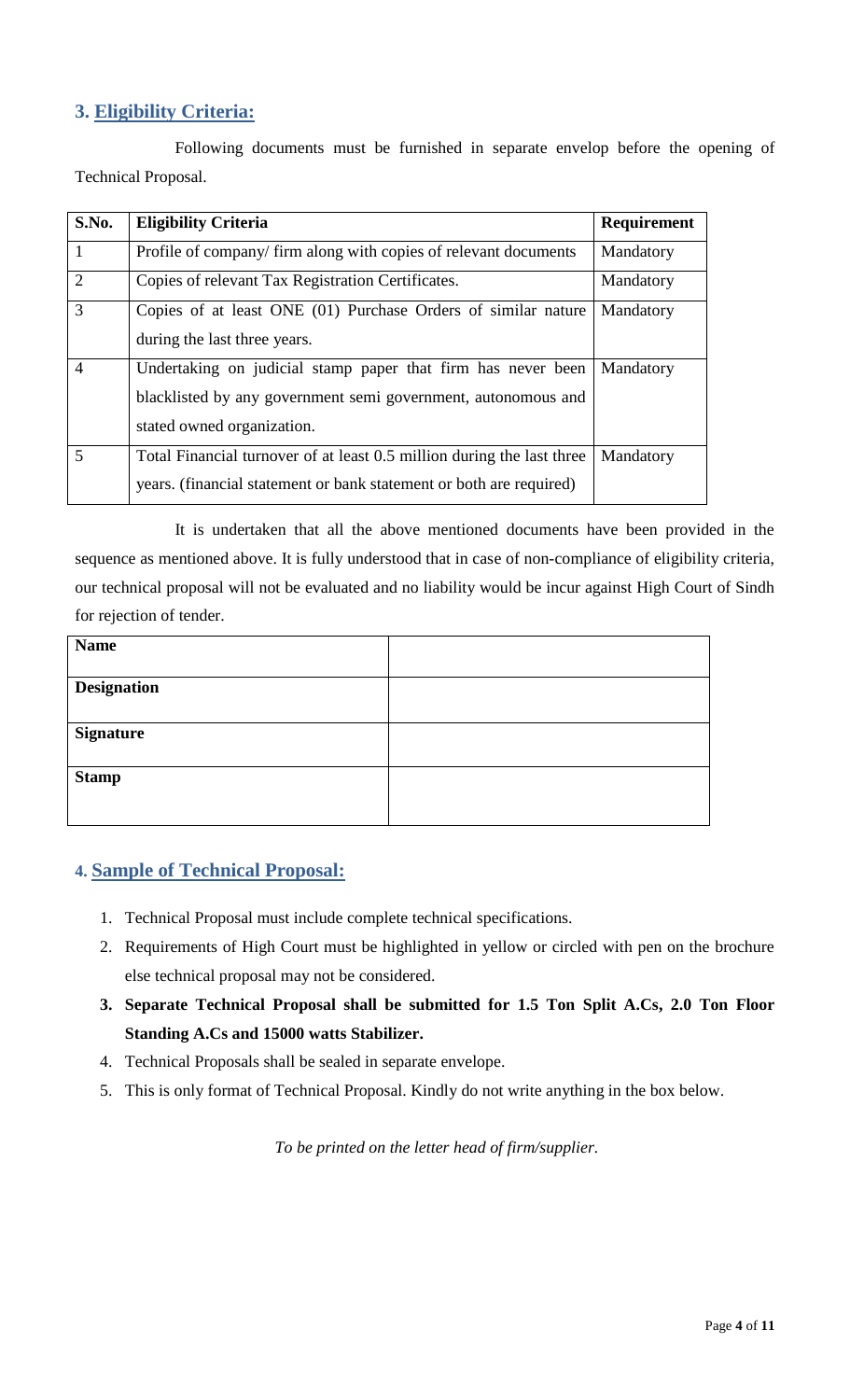# <span id="page-3-0"></span>**3. Eligibility Criteria:**

Following documents must be furnished in separate envelop before the opening of Technical Proposal.

| S.No.          | <b>Eligibility Criteria</b>                                            | Requirement |
|----------------|------------------------------------------------------------------------|-------------|
| $\mathbf{1}$   | Profile of company/firm along with copies of relevant documents        | Mandatory   |
| $\overline{2}$ | Copies of relevant Tax Registration Certificates.                      | Mandatory   |
| 3              | Copies of at least ONE (01) Purchase Orders of similar nature          | Mandatory   |
|                | during the last three years.                                           |             |
| $\overline{4}$ | Undertaking on judicial stamp paper that firm has never been           | Mandatory   |
|                | blacklisted by any government semi government, autonomous and          |             |
|                | stated owned organization.                                             |             |
| 5              | Total Financial turnover of at least 0.5 million during the last three | Mandatory   |
|                | years. (financial statement or bank statement or both are required)    |             |

It is undertaken that all the above mentioned documents have been provided in the sequence as mentioned above. It is fully understood that in case of non-compliance of eligibility criteria, our technical proposal will not be evaluated and no liability would be incur against High Court of Sindh for rejection of tender.

<span id="page-3-1"></span>

| <b>Name</b>        |  |
|--------------------|--|
|                    |  |
| <b>Designation</b> |  |
|                    |  |
| <b>Signature</b>   |  |
|                    |  |
| <b>Stamp</b>       |  |
|                    |  |
|                    |  |

## **4. Sample of Technical Proposal:**

- 1. Technical Proposal must include complete technical specifications.
- 2. Requirements of High Court must be highlighted in yellow or circled with pen on the brochure else technical proposal may not be considered.
- **3. Separate Technical Proposal shall be submitted for 1.5 Ton Split A.Cs, 2.0 Ton Floor Standing A.Cs and 15000 watts Stabilizer.**
- 4. Technical Proposals shall be sealed in separate envelope.
- 5. This is only format of Technical Proposal. Kindly do not write anything in the box below.

*To be printed on the letter head of firm/supplier.*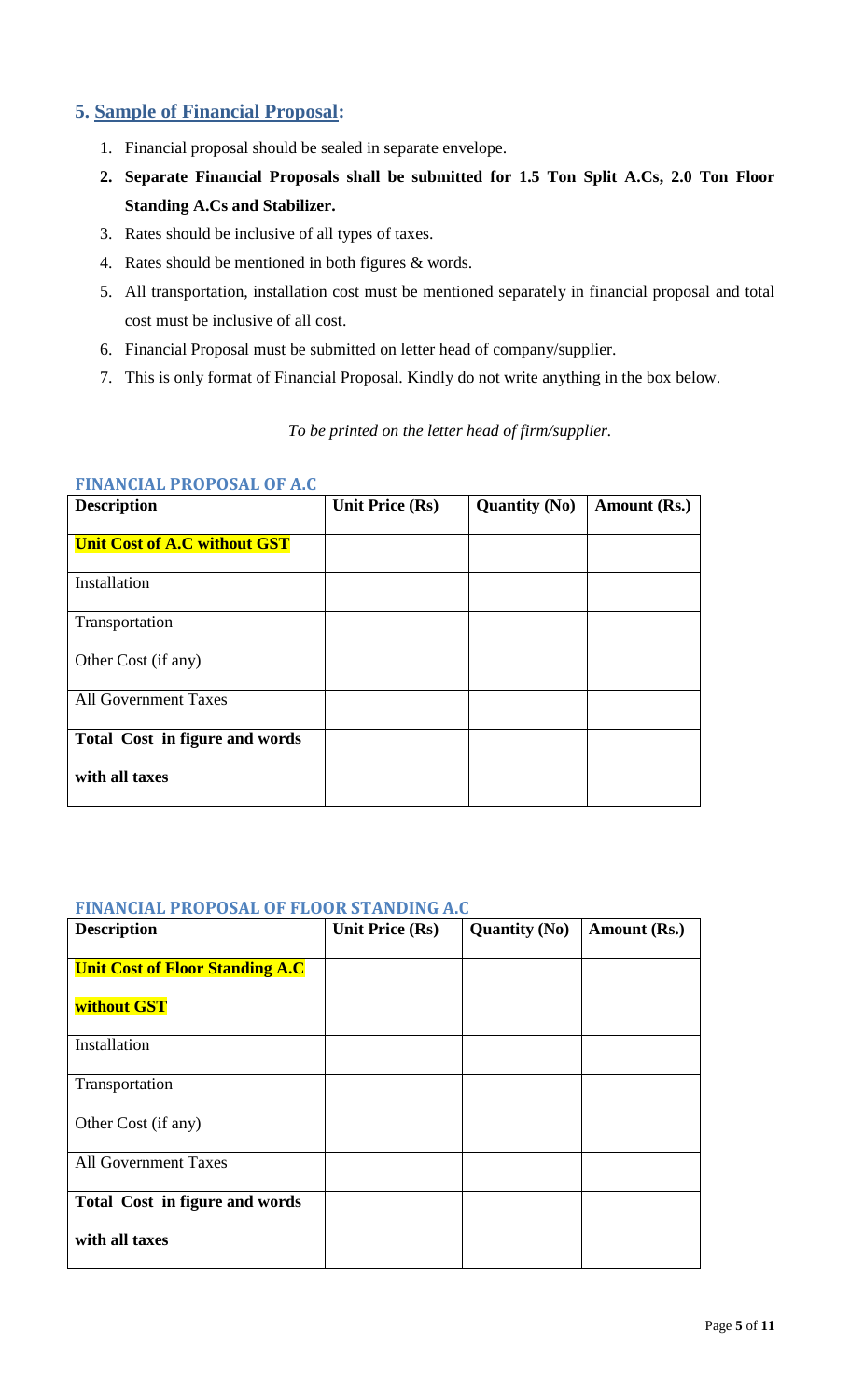## <span id="page-4-0"></span>**5. Sample of Financial Proposal:**

- 1. Financial proposal should be sealed in separate envelope.
- **2. Separate Financial Proposals shall be submitted for 1.5 Ton Split A.Cs, 2.0 Ton Floor Standing A.Cs and Stabilizer.**
- <span id="page-4-1"></span>3. Rates should be inclusive of all types of taxes.
- 4. Rates should be mentioned in both figures & words.
- 5. All transportation, installation cost must be mentioned separately in financial proposal and total cost must be inclusive of all cost.
- 6. Financial Proposal must be submitted on letter head of company/supplier.
- 7. This is only format of Financial Proposal. Kindly do not write anything in the box below.

#### *To be printed on the letter head of firm/supplier.*

| <b>FINANCIAL PROPOSAL OF A.C</b> |  |  |
|----------------------------------|--|--|
|----------------------------------|--|--|

<span id="page-4-2"></span>

| <b>Description</b>                  | <b>Unit Price (Rs)</b> | <b>Quantity (No)</b> | Amount (Rs.) |
|-------------------------------------|------------------------|----------------------|--------------|
| <b>Unit Cost of A.C without GST</b> |                        |                      |              |
| Installation                        |                        |                      |              |
| Transportation                      |                        |                      |              |
| Other Cost (if any)                 |                        |                      |              |
| <b>All Government Taxes</b>         |                        |                      |              |
| Total Cost in figure and words      |                        |                      |              |
| with all taxes                      |                        |                      |              |

#### **FINANCIAL PROPOSAL OF FLOOR STANDING A.C**

| <b>Description</b>                     | <b>Unit Price (Rs)</b> | <b>Quantity (No)</b> | Amount (Rs.) |
|----------------------------------------|------------------------|----------------------|--------------|
| <b>Unit Cost of Floor Standing A.C</b> |                        |                      |              |
| without GST                            |                        |                      |              |
| Installation                           |                        |                      |              |
| Transportation                         |                        |                      |              |
| Other Cost (if any)                    |                        |                      |              |
| <b>All Government Taxes</b>            |                        |                      |              |
| Total Cost in figure and words         |                        |                      |              |
| with all taxes                         |                        |                      |              |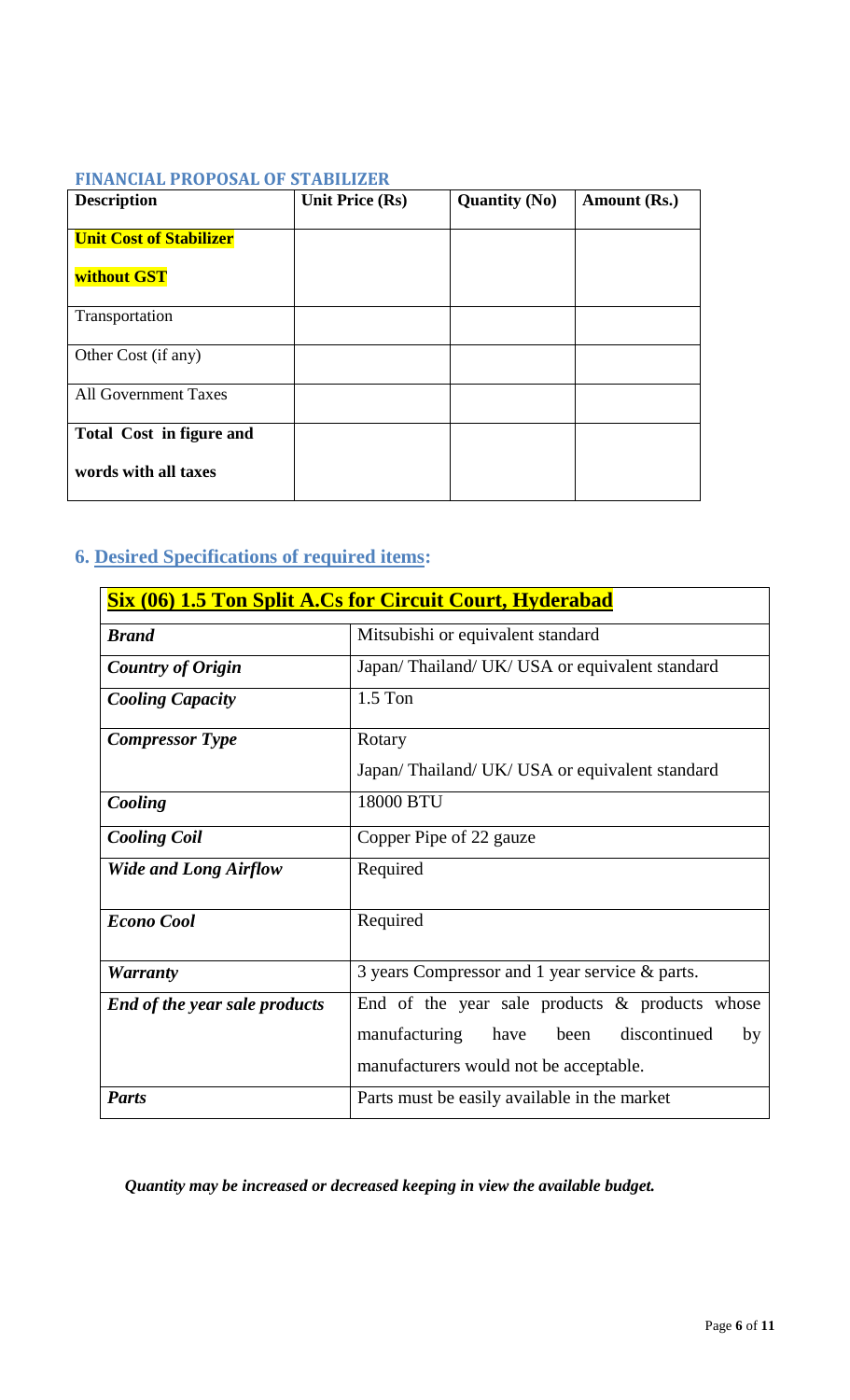## <span id="page-5-0"></span>**FINANCIAL PROPOSAL OF STABILIZER**

<span id="page-5-1"></span>

| <b>Description</b>             | Unit Price (Rs) | <b>Quantity (No)</b> | Amount (Rs.) |
|--------------------------------|-----------------|----------------------|--------------|
| <b>Unit Cost of Stabilizer</b> |                 |                      |              |
| without GST                    |                 |                      |              |
| Transportation                 |                 |                      |              |
| Other Cost (if any)            |                 |                      |              |
| <b>All Government Taxes</b>    |                 |                      |              |
| Total Cost in figure and       |                 |                      |              |
| words with all taxes           |                 |                      |              |

# **6. Desired Specifications of required items:**

|                                      | <b>Six (06) 1.5 Ton Split A.Cs for Circuit Court, Hyderabad</b> |  |  |
|--------------------------------------|-----------------------------------------------------------------|--|--|
| <b>Brand</b>                         | Mitsubishi or equivalent standard                               |  |  |
| <b>Country of Origin</b>             | Japan/Thailand/UK/USA or equivalent standard                    |  |  |
| <b>Cooling Capacity</b>              | $1.5$ Ton                                                       |  |  |
| <b>Compressor</b> Type               | Rotary                                                          |  |  |
|                                      | Japan/Thailand/UK/USA or equivalent standard                    |  |  |
| Cooling                              | 18000 BTU                                                       |  |  |
| <b>Cooling Coil</b>                  | Copper Pipe of 22 gauze                                         |  |  |
| <b>Wide and Long Airflow</b>         | Required                                                        |  |  |
| <b>Econo Cool</b>                    | Required                                                        |  |  |
| <b>Warranty</b>                      | 3 years Compressor and 1 year service & parts.                  |  |  |
| <b>End of the year sale products</b> | End of the year sale products $\&$ products whose               |  |  |
|                                      | manufacturing<br>discontinued<br>have<br>been<br>by             |  |  |
|                                      | manufacturers would not be acceptable.                          |  |  |
| <b>Parts</b>                         | Parts must be easily available in the market                    |  |  |

*Quantity may be increased or decreased keeping in view the available budget.*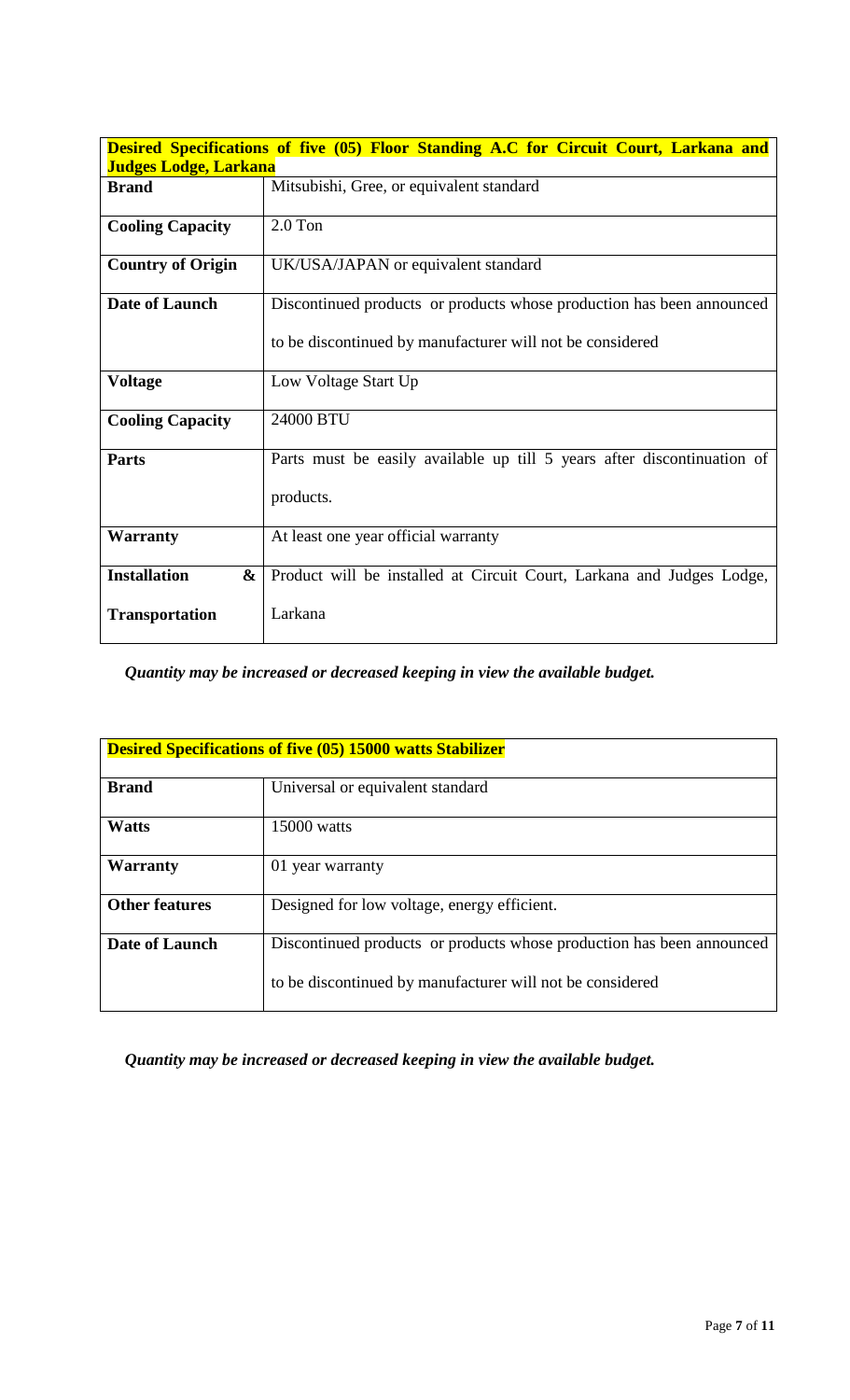|                              | <b>Desired Specifications of five (05) Floor Standing A.C for Circuit Court, Larkana and</b> |
|------------------------------|----------------------------------------------------------------------------------------------|
| <b>Judges Lodge, Larkana</b> |                                                                                              |
| <b>Brand</b>                 | Mitsubishi, Gree, or equivalent standard                                                     |
| <b>Cooling Capacity</b>      | $2.0$ Ton                                                                                    |
| <b>Country of Origin</b>     | UK/USA/JAPAN or equivalent standard                                                          |
| Date of Launch               | Discontinued products or products whose production has been announced                        |
|                              | to be discontinued by manufacturer will not be considered                                    |
| <b>Voltage</b>               | Low Voltage Start Up                                                                         |
| <b>Cooling Capacity</b>      | 24000 BTU                                                                                    |
| <b>Parts</b>                 | Parts must be easily available up till 5 years after discontinuation of                      |
|                              | products.                                                                                    |
| <b>Warranty</b>              | At least one year official warranty                                                          |
| <b>Installation</b><br>&     | Product will be installed at Circuit Court, Larkana and Judges Lodge,                        |
| <b>Transportation</b>        | Larkana                                                                                      |

*Quantity may be increased or decreased keeping in view the available budget.*

|                       | <b>Desired Specifications of five (05) 15000 watts Stabilizer</b>     |
|-----------------------|-----------------------------------------------------------------------|
| <b>Brand</b>          | Universal or equivalent standard                                      |
| <b>Watts</b>          | 15000 watts                                                           |
| <b>Warranty</b>       | 01 year warranty                                                      |
| <b>Other features</b> | Designed for low voltage, energy efficient.                           |
| <b>Date of Launch</b> | Discontinued products or products whose production has been announced |
|                       | to be discontinued by manufacturer will not be considered             |

*Quantity may be increased or decreased keeping in view the available budget.*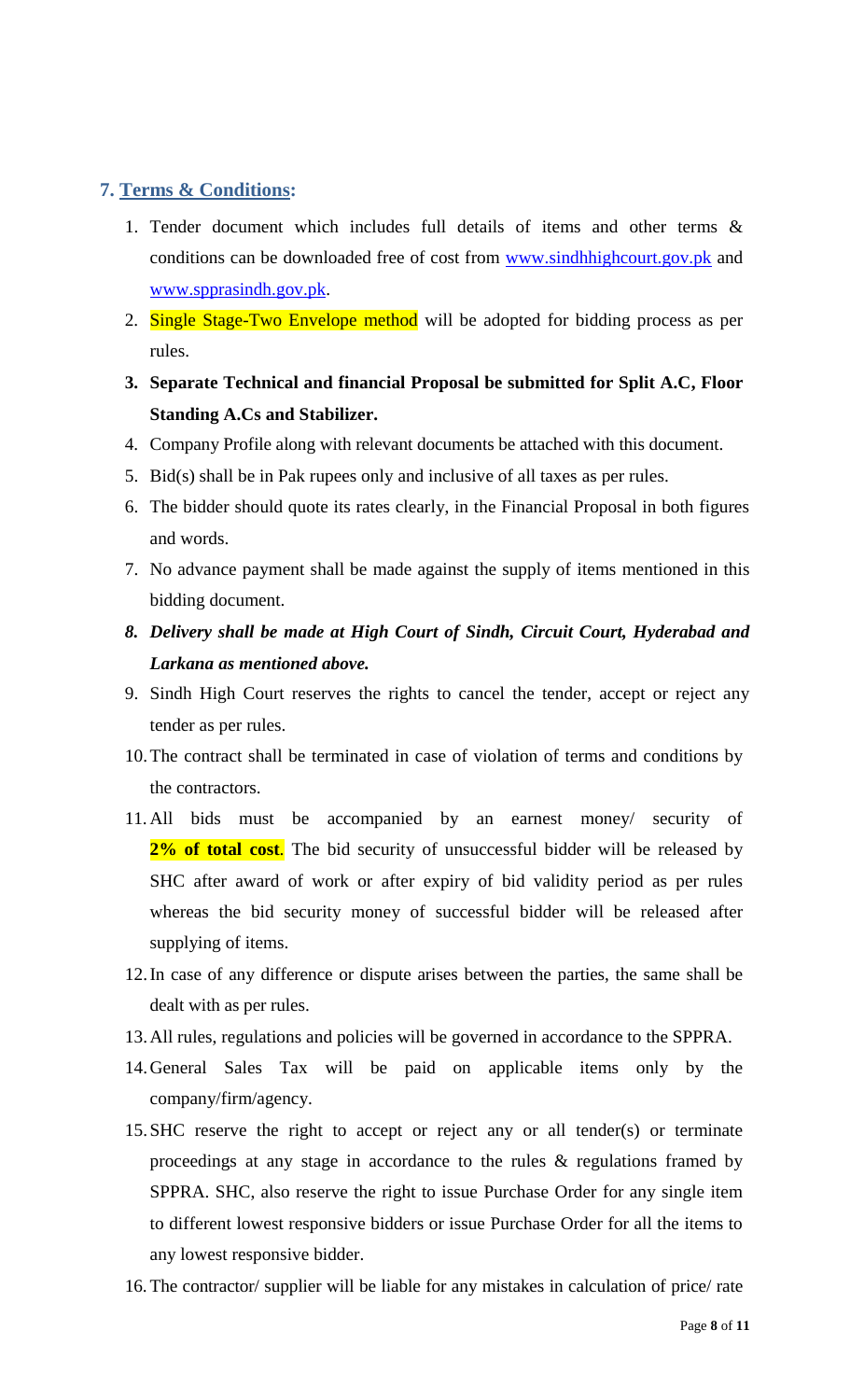## <span id="page-7-0"></span>**7. Terms & Conditions:**

- 1. Tender document which includes full details of items and other terms & conditions can be downloaded free of cost from [www.sindhhighcourt.gov.pk](http://www.sindhhighcourt.gov.pk/) and [www.spprasindh.gov.pk.](http://www.spprasindh.gov.pk/)
- 2. Single Stage-Two Envelope method will be adopted for bidding process as per rules.
- **3. Separate Technical and financial Proposal be submitted for Split A.C, Floor Standing A.Cs and Stabilizer.**
- 4. Company Profile along with relevant documents be attached with this document.
- 5. Bid(s) shall be in Pak rupees only and inclusive of all taxes as per rules.
- 6. The bidder should quote its rates clearly, in the Financial Proposal in both figures and words.
- 7. No advance payment shall be made against the supply of items mentioned in this bidding document.
- *8. Delivery shall be made at High Court of Sindh, Circuit Court, Hyderabad and Larkana as mentioned above.*
- 9. Sindh High Court reserves the rights to cancel the tender, accept or reject any tender as per rules.
- 10.The contract shall be terminated in case of violation of terms and conditions by the contractors.
- 11. All bids must be accompanied by an earnest money/ security of 2% of total cost. The bid security of unsuccessful bidder will be released by SHC after award of work or after expiry of bid validity period as per rules whereas the bid security money of successful bidder will be released after supplying of items.
- 12.In case of any difference or dispute arises between the parties, the same shall be dealt with as per rules.
- 13.All rules, regulations and policies will be governed in accordance to the SPPRA.
- 14.General Sales Tax will be paid on applicable items only by the company/firm/agency.
- 15.SHC reserve the right to accept or reject any or all tender(s) or terminate proceedings at any stage in accordance to the rules & regulations framed by SPPRA. SHC, also reserve the right to issue Purchase Order for any single item to different lowest responsive bidders or issue Purchase Order for all the items to any lowest responsive bidder.
- 16. The contractor/ supplier will be liable for any mistakes in calculation of price/ rate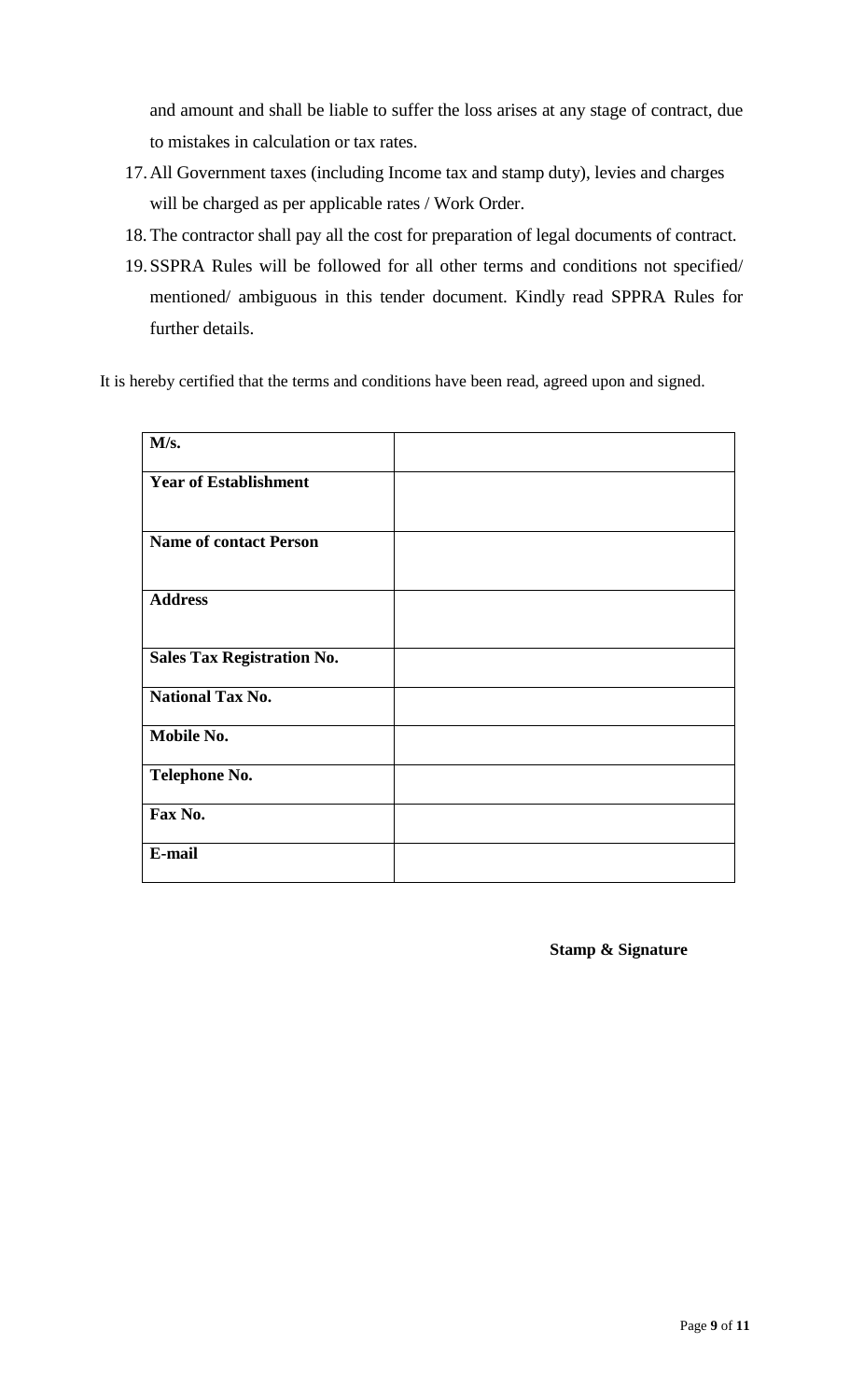and amount and shall be liable to suffer the loss arises at any stage of contract, due to mistakes in calculation or tax rates.

- 17.All Government taxes (including Income tax and stamp duty), levies and charges will be charged as per applicable rates / Work Order.
- 18. The contractor shall pay all the cost for preparation of legal documents of contract.
- 19.SSPRA Rules will be followed for all other terms and conditions not specified/ mentioned/ ambiguous in this tender document. Kindly read SPPRA Rules for further details.

It is hereby certified that the terms and conditions have been read, agreed upon and signed.

| M/s.                              |  |
|-----------------------------------|--|
| <b>Year of Establishment</b>      |  |
| <b>Name of contact Person</b>     |  |
| <b>Address</b>                    |  |
| <b>Sales Tax Registration No.</b> |  |
| <b>National Tax No.</b>           |  |
| Mobile No.                        |  |
| Telephone No.                     |  |
| Fax No.                           |  |
| E-mail                            |  |

#### **Stamp & Signature**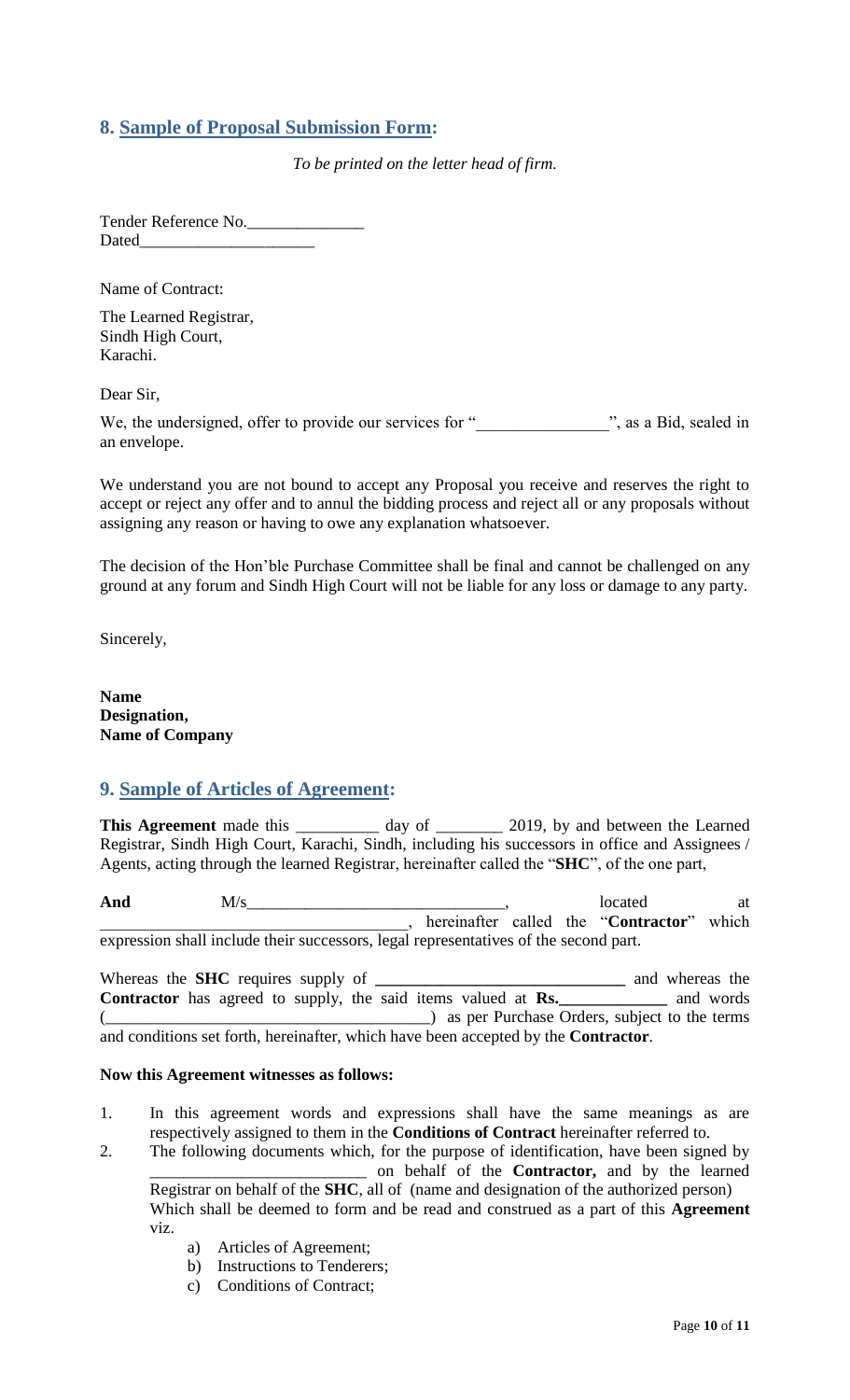## <span id="page-9-0"></span>**8. Sample of Proposal Submission Form:**

*To be printed on the letter head of firm.*

Tender Reference No. Dated\_\_\_\_\_\_\_\_\_\_\_\_\_\_\_\_\_\_\_\_\_

Name of Contract:

The Learned Registrar, Sindh High Court, Karachi.

Dear Sir,

We, the undersigned, offer to provide our services for "\_\_\_\_\_\_\_\_\_\_\_\_\_\_\_\_\_\_\_", as a Bid, sealed in an envelope.

<span id="page-9-1"></span>We understand you are not bound to accept any Proposal you receive and reserves the right to accept or reject any offer and to annul the bidding process and reject all or any proposals without assigning any reason or having to owe any explanation whatsoever.

The decision of the Hon"ble Purchase Committee shall be final and cannot be challenged on any ground at any forum and Sindh High Court will not be liable for any loss or damage to any party.

Sincerely,

**Name Designation, Name of Company**

#### **9. Sample of Articles of Agreement:**

This Agreement made this \_\_\_\_\_\_\_\_\_\_ day of \_\_\_\_\_\_\_\_ 2019, by and between the Learned Registrar, Sindh High Court, Karachi, Sindh, including his successors in office and Assignees / Agents, acting through the learned Registrar, hereinafter called the "**SHC**", of the one part,

And  $M/s$  at  $M/s$  at  $M/s$  at  $M/s$  at  $M$ \_\_\_\_\_\_\_\_\_\_\_\_\_\_\_\_\_\_\_\_\_\_\_\_\_\_\_\_\_\_\_\_\_\_\_\_\_, hereinafter called the "**Contractor**" which expression shall include their successors, legal representatives of the second part.

Whereas the **SHC** requires supply of **\_\_\_\_\_\_\_\_\_\_\_\_\_\_\_\_\_\_\_\_\_\_\_\_\_\_\_\_\_\_** and whereas the **Contractor** has agreed to supply, the said items valued at **Rs.**\_\_\_\_\_\_\_\_\_\_\_\_ and words (\_\_\_\_\_\_\_\_\_\_\_\_\_\_\_\_\_\_\_\_\_\_\_\_\_\_\_\_\_\_\_\_\_\_\_\_\_\_\_) as per Purchase Orders, subject to the terms and conditions set forth, hereinafter, which have been accepted by the **Contractor**.

#### **Now this Agreement witnesses as follows:**

- 1. In this agreement words and expressions shall have the same meanings as are respectively assigned to them in the **Conditions of Contract** hereinafter referred to.
- 2. The following documents which, for the purpose of identification, have been signed by \_\_\_\_\_\_\_\_\_\_\_\_\_\_\_\_\_\_\_\_\_\_\_\_\_\_ on behalf of the **Contractor,** and by the learned Registrar on behalf of the **SHC**, all of (name and designation of the authorized person)

Which shall be deemed to form and be read and construed as a part of this **Agreement**  viz.

- a) Articles of Agreement;
- b) Instructions to Tenderers;
- c) Conditions of Contract;